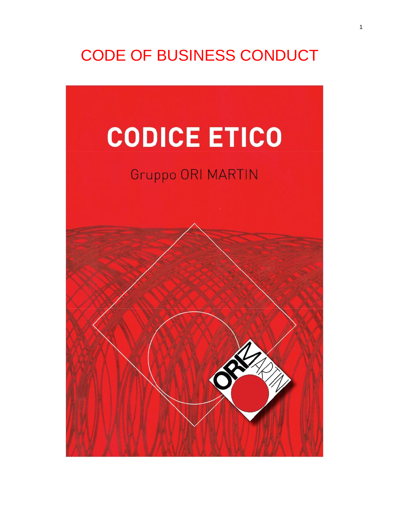# CODE OF BUSINESS CONDUCT

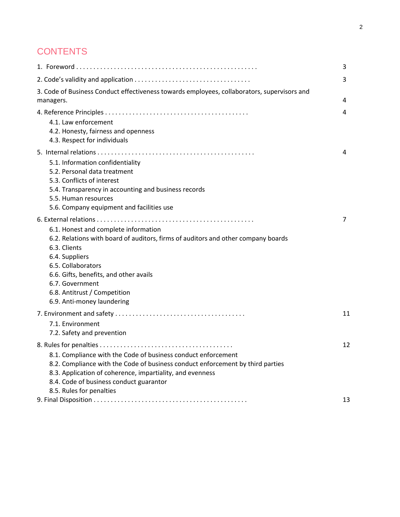## **CONTENTS**

|                                                                                                                                                                                                                                                         | 3              |
|---------------------------------------------------------------------------------------------------------------------------------------------------------------------------------------------------------------------------------------------------------|----------------|
|                                                                                                                                                                                                                                                         | 3              |
| 3. Code of Business Conduct effectiveness towards employees, collaborators, supervisors and<br>managers.                                                                                                                                                | 4              |
|                                                                                                                                                                                                                                                         | 4              |
| 4.1. Law enforcement<br>4.2. Honesty, fairness and openness<br>4.3. Respect for individuals                                                                                                                                                             |                |
|                                                                                                                                                                                                                                                         | 4              |
| 5.1. Information confidentiality<br>5.2. Personal data treatment                                                                                                                                                                                        |                |
| 5.3. Conflicts of interest                                                                                                                                                                                                                              |                |
| 5.4. Transparency in accounting and business records<br>5.5. Human resources                                                                                                                                                                            |                |
| 5.6. Company equipment and facilities use                                                                                                                                                                                                               |                |
|                                                                                                                                                                                                                                                         | $\overline{7}$ |
| 6.1. Honest and complete information<br>6.2. Relations with board of auditors, firms of auditors and other company boards<br>6.3. Clients<br>6.4. Suppliers<br>6.5. Collaborators<br>6.6. Gifts, benefits, and other avails<br>6.7. Government          |                |
| 6.8. Antitrust / Competition<br>6.9. Anti-money laundering                                                                                                                                                                                              |                |
| 7.1. Environment<br>7.2. Safety and prevention                                                                                                                                                                                                          | 11             |
|                                                                                                                                                                                                                                                         | 12             |
| 8.1. Compliance with the Code of business conduct enforcement<br>8.2. Compliance with the Code of business conduct enforcement by third parties<br>8.3. Application of coherence, impartiality, and evenness<br>8.4. Code of business conduct guarantor |                |
| 8.5. Rules for penalties                                                                                                                                                                                                                                | 13             |
|                                                                                                                                                                                                                                                         |                |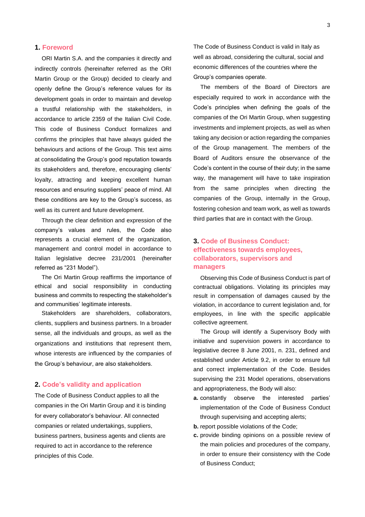### **1. Foreword**

ORI Martin S.A. and the companies it directly and indirectly controls (hereinafter referred as the ORI Martin Group or the Group) decided to clearly and openly define the Group's reference values for its development goals in order to maintain and develop a trustful relationship with the stakeholders, in accordance to article 2359 of the Italian Civil Code. This code of Business Conduct formalizes and confirms the principles that have always guided the behaviours and actions of the Group. This text aims at consolidating the Group's good reputation towards its stakeholders and, therefore, encouraging clients' loyalty, attracting and keeping excellent human resources and ensuring suppliers' peace of mind. All these conditions are key to the Group's success, as well as its current and future development.

Through the clear definition and expression of the company's values and rules, the Code also represents a crucial element of the organization, management and control model in accordance to Italian legislative decree 231/2001 (hereinafter referred as "231 Model").

The Ori Martin Group reaffirms the importance of ethical and social responsibility in conducting business and commits to respecting the stakeholder's and communities' legitimate interests.

Stakeholders are shareholders, collaborators, clients, suppliers and business partners. In a broader sense, all the individuals and groups, as well as the organizations and institutions that represent them, whose interests are influenced by the companies of the Group's behaviour, are also stakeholders.

### **2. Code's validity and application**

The Code of Business Conduct applies to all the companies in the Ori Martin Group and it is binding for every collaborator's behaviour. All connected companies or related undertakings, suppliers, business partners, business agents and clients are required to act in accordance to the reference principles of this Code.

The Code of Business Conduct is valid in Italy as well as abroad, considering the cultural, social and economic differences of the countries where the Group's companies operate.

The members of the Board of Directors are especially required to work in accordance with the Code's principles when defining the goals of the companies of the Ori Martin Group, when suggesting investments and implement projects, as well as when taking any decision or action regarding the companies of the Group management. The members of the Board of Auditors ensure the observance of the Code's content in the course of their duty; in the same way, the management will have to take inspiration from the same principles when directing the companies of the Group, internally in the Group, fostering cohesion and team work, as well as towards third parties that are in contact with the Group.

### **3. Code of Business Conduct: effectiveness towards employees, collaborators, supervisors and managers**

Observing this Code of Business Conduct is part of contractual obligations. Violating its principles may result in compensation of damages caused by the violation, in accordance to current legislation and, for employees, in line with the specific applicable collective agreement.

The Group will identify a Supervisory Body with initiative and supervision powers in accordance to legislative decree 8 June 2001, n. 231, defined and established under Article 9.2, in order to ensure full and correct implementation of the Code. Besides supervising the 231 Model operations, observations and appropriateness, the Body will also:

- **a.** constantly observe the interested parties' implementation of the Code of Business Conduct through supervising and accepting alerts;
- **b.** report possible violations of the Code;
- **c.** provide binding opinions on a possible review of the main policies and procedures of the company, in order to ensure their consistency with the Code of Business Conduct;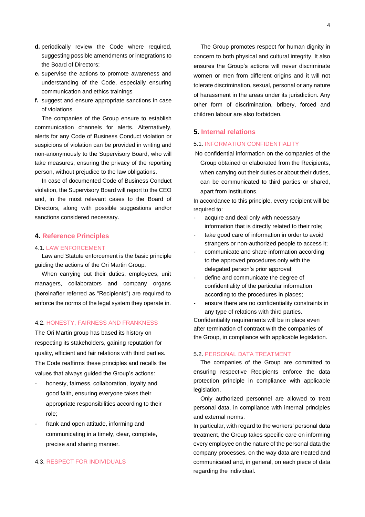- **d.** periodically review the Code where required, suggesting possible amendments or integrations to the Board of Directors;
- **e.** supervise the actions to promote awareness and understanding of the Code, especially ensuring communication and ethics trainings
- **f.** suggest and ensure appropriate sanctions in case of violations.

The companies of the Group ensure to establish communication channels for alerts. Alternatively, alerts for any Code of Business Conduct violation or suspicions of violation can be provided in writing and non-anonymously to the Supervisory Board, who will take measures, ensuring the privacy of the reporting person, without prejudice to the law obligations.

In case of documented Code of Business Conduct violation, the Supervisory Board will report to the CEO and, in the most relevant cases to the Board of Directors, along with possible suggestions and/or sanctions considered necessary.

### **4. Reference Principles**

#### 4.1. LAW ENFORCEMENT

Law and Statute enforcement is the basic principle guiding the actions of the Ori Martin Group.

When carrying out their duties, employees, unit managers, collaborators and company organs (hereinafter referred as "Recipients") are required to enforce the norms of the legal system they operate in.

### 4.2. HONESTY, FAIRNESS AND FRANKNESS

The Ori Martin group has based its history on respecting its stakeholders, gaining reputation for quality, efficient and fair relations with third parties. The Code reaffirms these principles and recalls the values that always guided the Group's actions:

- honesty, fairness, collaboration, loyalty and good faith, ensuring everyone takes their appropriate responsibilities according to their role;
- frank and open attitude, informing and communicating in a timely, clear, complete, precise and sharing manner.

### 4.3. RESPECT FOR INDIVIDUALS

The Group promotes respect for human dignity in concern to both physical and cultural integrity. It also ensures the Group's actions will never discriminate women or men from different origins and it will not tolerate discrimination, sexual, personal or any nature of harassment in the areas under its jurisdiction. Any other form of discrimination, bribery, forced and children labour are also forbidden.

### **5. Internal relations**

### 5.1. INFORMATION CONFIDENTIALITY

No confidential information on the companies of the Group obtained or elaborated from the Recipients, when carrying out their duties or about their duties, can be communicated to third parties or shared, apart from institutions.

In accordance to this principle, every recipient will be required to:

- acquire and deal only with necessary information that is directly related to their role;
- take good care of information in order to avoid strangers or non-authorized people to access it;
- communicate and share information according to the approved procedures only with the delegated person's prior approval;
- define and communicate the degree of confidentiality of the particular information according to the procedures in places;
- ensure there are no confidentiality constraints in any type of relations with third parties.

Confidentiality requirements will be in place even after termination of contract with the companies of the Group, in compliance with applicable legislation.

### 5.2. PERSONAL DATA TREATMENT

The companies of the Group are committed to ensuring respective Recipients enforce the data protection principle in compliance with applicable legislation.

Only authorized personnel are allowed to treat personal data, in compliance with internal principles and external norms.

In particular, with regard to the workers' personal data treatment, the Group takes specific care on informing every employee on the nature of the personal data the company processes, on the way data are treated and communicated and, in general, on each piece of data regarding the individual.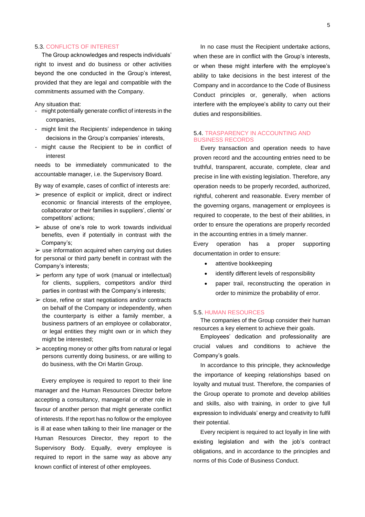### 5.3. CONFLICTS OF INTEREST

The Group acknowledges and respects individuals' right to invest and do business or other activities beyond the one conducted in the Group's interest, provided that they are legal and compatible with the commitments assumed with the Company.

Any situation that:

- might potentially generate conflict of interests in the companies,
- might limit the Recipients' independence in taking decisions in the Group's companies' interests,
- might cause the Recipient to be in conflict of interest

needs to be immediately communicated to the accountable manager, i.e. the Supervisory Board.

By way of example, cases of conflict of interests are:

- $\triangleright$  presence of explicit or implicit, direct or indirect economic or financial interests of the employee, collaborator or their families in suppliers', clients' or competitors' actions;
- $\geq$  abuse of one's role to work towards individual benefits, even if potentially in contrast with the Company's;

 $\triangleright$  use information acquired when carrying out duties for personal or third party benefit in contrast with the Company's interests;

- $\triangleright$  perform any type of work (manual or intellectual) for clients, suppliers, competitors and/or third parties in contrast with the Company's interests;
- $\geq$  close, refine or start negotiations and/or contracts on behalf of the Company or independently, when the counterparty is either a family member, a business partners of an employee or collaborator, or legal entities they might own or in which they might be interested;
- $\geq$  accepting money or other gifts from natural or legal persons currently doing business, or are willing to do business, with the Ori Martin Group.

Every employee is required to report to their line manager and the Human Resources Director before accepting a consultancy, managerial or other role in favour of another person that might generate conflict of interests. If the report has no follow or the employee is ill at ease when talking to their line manager or the Human Resources Director, they report to the Supervisory Body. Equally, every employee is required to report in the same way as above any known conflict of interest of other employees.

In no case must the Recipient undertake actions, when these are in conflict with the Group's interests, or when these might interfere with the employee's ability to take decisions in the best interest of the Company and in accordance to the Code of Business Conduct principles or, generally, when actions interfere with the employee's ability to carry out their duties and responsibilities.

### 5.4. TRASPARENCY IN ACCOUNTING AND BUSINESS RECORDS

Every transaction and operation needs to have proven record and the accounting entries need to be truthful, transparent, accurate, complete, clear and precise in line with existing legislation. Therefore, any operation needs to be properly recorded, authorized, rightful, coherent and reasonable. Every member of the governing organs, management or employees is required to cooperate, to the best of their abilities, in order to ensure the operations are properly recorded in the accounting entries in a timely manner.

Every operation has a proper supporting documentation in order to ensure:

- attentive bookkeeping
- identify different levels of responsibility
- paper trail, reconstructing the operation in order to minimize the probability of error.

### 5.5. HUMAN RESOURCES

The companies of the Group consider their human resources a key element to achieve their goals.

Employees' dedication and professionality are crucial values and conditions to achieve the Company's goals.

In accordance to this principle, they acknowledge the importance of keeping relationships based on loyalty and mutual trust. Therefore, the companies of the Group operate to promote and develop abilities and skills, also with training, in order to give full expression to individuals' energy and creativity to fulfil their potential.

Every recipient is required to act loyally in line with existing legislation and with the job's contract obligations, and in accordance to the principles and norms of this Code of Business Conduct.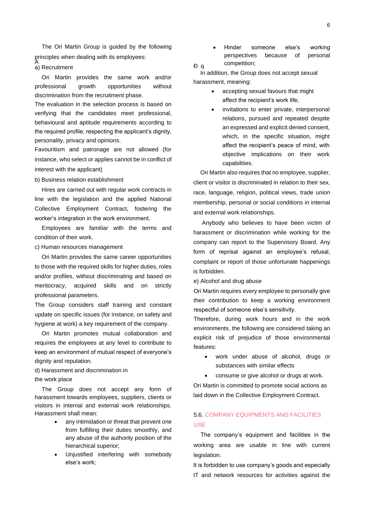The Ori Martin Group is guided by the following principles when dealing with its employees: A

#### a) Recruitment

Ori Martin provides the same work and/or professional growth opportunities without discrimination from the recruitment phase.

The evaluation in the selection process is based on verifying that the candidates meet professional, behavioural and aptitude requirements according to the required profile, respecting the applicant's dignity, personality, privacy and opinions.

Favouritism and patronage are not allowed (for instance, who select or applies cannot be in conflict of interest with the applicant)

### b) Business relation establishment

Hires are carried out with regular work contracts in line with the legislation and the applied National Collective Employment Contract, fostering the worker's integration in the work environment.

Employees are familiar with the terms and condition of their work.

#### c) Human resources management

Ori Martin provides the same career opportunities to those with the required skills for higher duties, roles and/or profiles, without discriminating and based on meritocracy, acquired skills and on strictly professional parameters.

The Group considers staff training and constant update on specific issues (for instance, on safety and hygiene at work) a key requirement of the company.

Ori Martin promotes mutual collaboration and requires the employees at any level to contribute to keep an environment of mutual respect of everyone's dignity and reputation.

d) Harassment and discrimination in the work place

The Group does not accept any form of harassment towards employees, suppliers, clients or visitors in internal and external work relationships. Harassment shall mean:

- any intimidation or threat that prevent one from fulfilling their duties smoothly, and any abuse of the authority position of the hierarchical superior;
- Unjustified interfering with somebody else's work;

• Hinder someone else's working perspectives because of personal competition; <sup>Ð</sup> <sup>q</sup>

In addition, the Group does not accept sexual harassment, meaning:

- accepting sexual favours that might affect the recipient's work life;
- invitations to enter private, interpersonal relations, pursued and repeated despite an expressed and explicit denied consent, which, in the specific situation, might affect the recipient's peace of mind, with objective implications on their work capabilities.

Ori Martin also requires that no employee, supplier, client or visitor is discriminated in relation to their sex, race, language, religion, political views, trade union membership, personal or social conditions in internal and external work relationships.

Anybody who believes to have been victim of harassment or discrimination while working for the company can report to the Supervisory Board. Any form of reprisal against an employee's refusal, complaint or report of those unfortunate happenings is forbidden.

e) Alcohol and drug abuse

Ori Martin requires every employee to personally give their contribution to keep a working environment respectful of someone else's sensitivity.

Therefore, during work hours and in the work environments, the following are considered taking an explicit risk of prejudice of those environmental features:

- work under abuse of alcohol, drugs or substances with similar effects
- consume or give alcohol or drugs at work.

Ori Martin is committed to promote social actions as laid down in the Collective Employment Contract.

### 5.6. COMPANY EQUIPMENTS AND FACILITIES USE

The company's equipment and facilities in the working area are usable in line with current legislation.

It is forbidden to use company's goods and especially IT and network resources for activities against the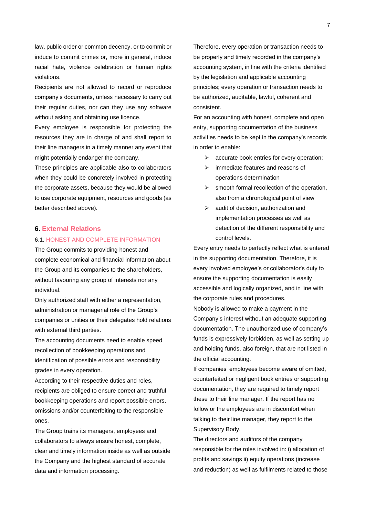law, public order or common decency, or to commit or induce to commit crimes or, more in general, induce racial hate, violence celebration or human rights violations.

Recipients are not allowed to record or reproduce company's documents, unless necessary to carry out their regular duties, nor can they use any software without asking and obtaining use licence.

Every employee is responsible for protecting the resources they are in charge of and shall report to their line managers in a timely manner any event that might potentially endanger the company.

These principles are applicable also to collaborators when they could be concretely involved in protecting the corporate assets, because they would be allowed to use corporate equipment, resources and goods (as better described above).

### **6. External Relations**

### 6.1. HONEST AND COMPLETE INFORMATION

The Group commits to providing honest and complete economical and financial information about the Group and its companies to the shareholders, without favouring any group of interests nor any individual.

Only authorized staff with either a representation, administration or managerial role of the Group's companies or unities or their delegates hold relations with external third parties.

The accounting documents need to enable speed recollection of bookkeeping operations and identification of possible errors and responsibility grades in every operation.

According to their respective duties and roles, recipients are obliged to ensure correct and truthful bookkeeping operations and report possible errors, omissions and/or counterfeiting to the responsible ones.

The Group trains its managers, employees and collaborators to always ensure honest, complete, clear and timely information inside as well as outside the Company and the highest standard of accurate data and information processing.

Therefore, every operation or transaction needs to be properly and timely recorded in the company's accounting system, in line with the criteria identified by the legislation and applicable accounting principles; every operation or transaction needs to be authorized, auditable, lawful, coherent and consistent.

For an accounting with honest, complete and open entry, supporting documentation of the business activities needs to be kept in the company's records in order to enable:

- ➢ accurate book entries for every operation;
- ➢ immediate features and reasons of operations determination
- $\triangleright$  smooth formal recollection of the operation, also from a chronological point of view
- $\triangleright$  audit of decision, authorization and implementation processes as well as detection of the different responsibility and control levels.

Every entry needs to perfectly reflect what is entered in the supporting documentation. Therefore, it is every involved employee's or collaborator's duty to ensure the supporting documentation is easily accessible and logically organized, and in line with the corporate rules and procedures.

Nobody is allowed to make a payment in the Company's interest without an adequate supporting documentation. The unauthorized use of company's funds is expressively forbidden, as well as setting up and holding funds, also foreign, that are not listed in the official accounting.

If companies' employees become aware of omitted, counterfeited or negligent book entries or supporting documentation, they are required to timely report these to their line manager. If the report has no follow or the employees are in discomfort when talking to their line manager, they report to the Supervisory Body.

The directors and auditors of the company responsible for the roles involved in: i) allocation of profits and savings ii) equity operations (increase and reduction) as well as fulfilments related to those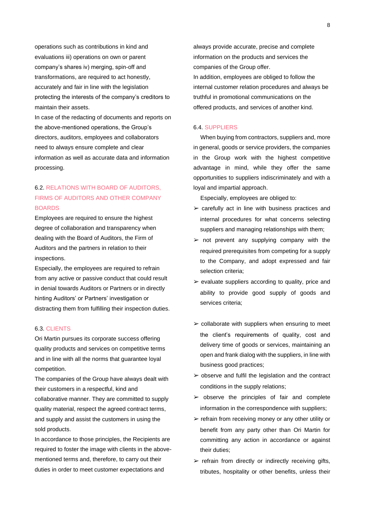operations such as contributions in kind and evaluations iii) operations on own or parent company's shares iv) merging, spin-off and transformations, are required to act honestly, accurately and fair in line with the legislation protecting the interests of the company's creditors to maintain their assets.

In case of the redacting of documents and reports on the above-mentioned operations, the Group's directors, auditors, employees and collaborators need to always ensure complete and clear information as well as accurate data and information processing.

### 6.2. RELATIONS WITH BOARD OF AUDITORS, FIRMS OF AUDITORS AND OTHER COMPANY BOARDS

Employees are required to ensure the highest degree of collaboration and transparency when dealing with the Board of Auditors, the Firm of Auditors and the partners in relation to their inspections.

Especially, the employees are required to refrain from any active or passive conduct that could result in denial towards Auditors or Partners or in directly hinting Auditors' or Partners' investigation or distracting them from fulfilling their inspection duties.

### 6.3. CLIENTS

Ori Martin pursues its corporate success offering quality products and services on competitive terms and in line with all the norms that guarantee loyal competition.

The companies of the Group have always dealt with their customers in a respectful, kind and collaborative manner. They are committed to supply quality material, respect the agreed contract terms, and supply and assist the customers in using the sold products.

In accordance to those principles, the Recipients are required to foster the image with clients in the abovementioned terms and, therefore, to carry out their duties in order to meet customer expectations and

always provide accurate, precise and complete information on the products and services the companies of the Group offer. In addition, employees are obliged to follow the internal customer relation procedures and always be truthful in promotional communications on the offered products, and services of another kind.

### 6.4. SUPPLIERS

When buying from contractors, suppliers and, more in general, goods or service providers, the companies in the Group work with the highest competitive advantage in mind, while they offer the same opportunities to suppliers indiscriminately and with a loyal and impartial approach.

Especially, employees are obliged to:

- $\geq$  carefully act in line with business practices and internal procedures for what concerns selecting suppliers and managing relationships with them;
- $\triangleright$  not prevent any supplying company with the required prerequisites from competing for a supply to the Company, and adopt expressed and fair selection criteria;
- $\triangleright$  evaluate suppliers according to quality, price and ability to provide good supply of goods and services criteria;
- $\triangleright$  collaborate with suppliers when ensuring to meet the client's requirements of quality, cost and delivery time of goods or services, maintaining an open and frank dialog with the suppliers, in line with business good practices;
- $\geq$  observe and fulfil the legislation and the contract conditions in the supply relations;
- $\geq$  observe the principles of fair and complete information in the correspondence with suppliers;
- $\triangleright$  refrain from receiving money or any other utility or benefit from any party other than Ori Martin for committing any action in accordance or against their duties;
- $\triangleright$  refrain from directly or indirectly receiving gifts, tributes, hospitality or other benefits, unless their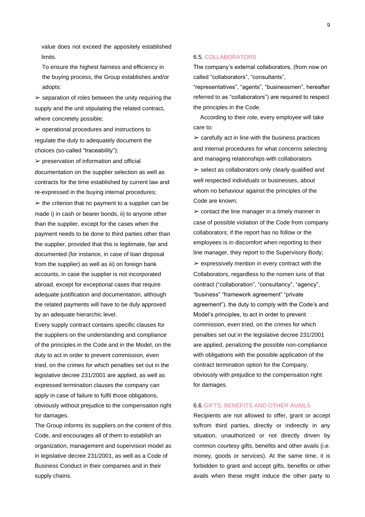value does not exceed the appositely established limits.

To ensure the highest fairness and efficiency in the buying process, the Group establishes and/or adopts:

 $\triangleright$  separation of roles between the unity requiring the supply and the unit stipulating the related contract, where concretely possible;

 $\triangleright$  operational procedures and instructions to regulate the duty to adequately document the choices (so-called "traceability");

 $\triangleright$  preservation of information and official documentation on the supplier selection as well as contracts for the time established by current law and re-expressed in the buying internal procedures;  $\triangleright$  the criterion that no payment to a supplier can be made i) in cash or bearer bonds, ii) to anyone other than the supplier, except for the cases when the payment needs to be done to third parties other than the supplier, provided that this is legitimate, fair and documented (for instance, in case of loan disposal from the supplier) as well as iii) on foreign bank accounts, in case the supplier is not incorporated abroad, except for exceptional cases that require adequate justification and documentation, although the related payments will have to be duly approved by an adequate hierarchic level.

Every supply contract contains specific clauses for the suppliers on the understanding and compliance of the principles in the Code and in the Model, on the duty to act in order to prevent commission, even tried, on the crimes for which penalties set out in the legislative decree 231/2001 are applied, as well as expressed termination clauses the company can apply in case of failure to fulfil those obligations, obviously without prejudice to the compensation right for damages.

The Group informs its suppliers on the content of this Code, and encourages all of them to establish an organization, management and supervision model as in legislative decree 231/2001, as well as a Code of Business Conduct in their companies and in their supply chains.

### 6.5. COLLABORATORS

The company's external collaborators, (from now on called "collaborators", "consultants",

"representatives", "agents", "businessmen", hereafter referred to as "collaborators") are required to respect the principles in the Code.

According to their role, every employee will take care to:

 $\triangleright$  carefully act in line with the business practices and internal procedures for what concerns selecting and managing relationships with collaborators  $\triangleright$  select as collaborators only clearly qualified and well respected individuals or businesses, about whom no behaviour against the principles of the Code are known;

 $\triangleright$  contact the line manager in a timely manner in case of possible violation of the Code from company collaborators; if the report has no follow or the employees is in discomfort when reporting to their line manager, they report to the Supervisory Body;  $\triangleright$  expressively mention in every contract with the Collaborators, regardless to the nomen iuris of that contract ("collaboration", "consultancy", "agency", "business" "framework agreement" "private agreement"), the duty to comply with the Code's and Model's principles, to act in order to prevent commission, even tried, on the crimes for which penalties set out in the legislative decree 231/2001 are applied, penalizing the possible non-compliance with obligations with the possible application of the contract termination option for the Company, obviously with prejudice to the compensation right for damages.

### 6.6.GIFTS, BENEFITS AND OTHER AVAILS

Recipients are not allowed to offer, grant or accept to/from third parties, directly or indirectly in any situation, unauthorized or not directly driven by common courtesy gifts, benefits and other avails (i.e. money, goods or services). At the same time, it is forbidden to grant and accept gifts, benefits or other avails when these might induce the other party to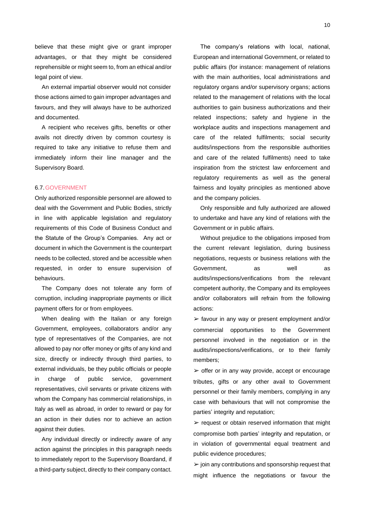believe that these might give or grant improper advantages, or that they might be considered reprehensible or might seem to, from an ethical and/or legal point of view.

An external impartial observer would not consider those actions aimed to gain improper advantages and favours, and they will always have to be authorized and documented.

A recipient who receives gifts, benefits or other avails not directly driven by common courtesy is required to take any initiative to refuse them and immediately inform their line manager and the Supervisory Board.

#### 6.7.GOVERNMENT

Only authorized responsible personnel are allowed to deal with the Government and Public Bodies, strictly in line with applicable legislation and regulatory requirements of this Code of Business Conduct and the Statute of the Group's Companies. Any act or document in which the Government is the counterpart needs to be collected, stored and be accessible when requested, in order to ensure supervision of behaviours.

The Company does not tolerate any form of corruption, including inappropriate payments or illicit payment offers for or from employees.

When dealing with the Italian or any foreign Government, employees, collaborators and/or any type of representatives of the Companies, are not allowed to pay nor offer money or gifts of any kind and size, directly or indirectly through third parties, to external individuals, be they public officials or people in charge of public service, government representatives, civil servants or private citizens with whom the Company has commercial relationships, in Italy as well as abroad, in order to reward or pay for an action in their duties nor to achieve an action against their duties.

Any individual directly or indirectly aware of any action against the principles in this paragraph needs to immediately report to the Supervisory Boardand, if a third-party subject, directly to their company contact.

The company's relations with local, national, European and international Government, or related to public affairs (for instance: management of relations with the main authorities, local administrations and regulatory organs and/or supervisory organs; actions related to the management of relations with the local authorities to gain business authorizations and their related inspections; safety and hygiene in the workplace audits and inspections management and care of the related fulfilments; social security audits/inspections from the responsible authorities and care of the related fulfilments) need to take inspiration from the strictest law enforcement and regulatory requirements as well as the general fairness and loyalty principles as mentioned above and the company policies.

Only responsible and fully authorized are allowed to undertake and have any kind of relations with the Government or in public affairs.

Without prejudice to the obligations imposed from the current relevant legislation, during business negotiations, requests or business relations with the Government, as well as audits/inspections/verifications from the relevant competent authority, the Company and its employees and/or collaborators will refrain from the following actions:

➢ favour in any way or present employment and/or commercial opportunities to the Government personnel involved in the negotiation or in the audits/inspections/verifications, or to their family members;

 $\triangleright$  offer or in any way provide, accept or encourage tributes, gifts or any other avail to Government personnel or their family members, complying in any case with behaviours that will not compromise the parties' integrity and reputation;

 $\triangleright$  request or obtain reserved information that might compromise both parties' integrity and reputation, or in violation of governmental equal treatment and public evidence procedures;

 $\ge$  join any contributions and sponsorship request that might influence the negotiations or favour the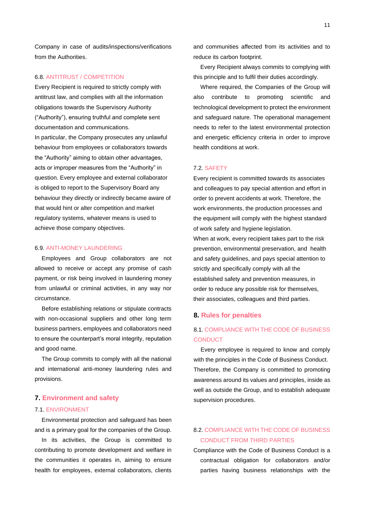Company in case of audits/inspections/verifications from the Authorities.

### 6.8. ANTITRUST / COMPETITION

Every Recipient is required to strictly comply with antitrust law, and complies with all the information obligations towards the Supervisory Authority ("Authority"), ensuring truthful and complete sent documentation and communications. In particular, the Company prosecutes any unlawful behaviour from employees or collaborators towards the "Authority" aiming to obtain other advantages, acts or improper measures from the "Authority" in question. Every employee and external collaborator is obliged to report to the Supervisory Board any behaviour they directly or indirectly became aware of that would hint or alter competition and market regulatory systems, whatever means is used to achieve those company objectives.

### 6.9. ANTI-MONEY LAUNDERING

Employees and Group collaborators are not allowed to receive or accept any promise of cash payment, or risk being involved in laundering money from unlawful or criminal activities, in any way nor circumstance.

Before establishing relations or stipulate contracts with non-occasional suppliers and other long term business partners, employees and collaborators need to ensure the counterpart's moral integrity, reputation and good name.

The Group commits to comply with all the national and international anti-money laundering rules and provisions.

### **7. Environment and safety**

#### 7.1. ENVIRONMENT

Environmental protection and safeguard has been and is a primary goal for the companies of the Group.

In its activities, the Group is committed to contributing to promote development and welfare in the communities it operates in, aiming to ensure health for employees, external collaborators, clients and communities affected from its activities and to reduce its carbon footprint.

Every Recipient always commits to complying with this principle and to fulfil their duties accordingly.

Where required, the Companies of the Group will also contribute to promoting scientific and technological development to protect the environment and safeguard nature. The operational management needs to refer to the latest environmental protection and energetic efficiency criteria in order to improve health conditions at work.

### 7.2. SAFETY

Every recipient is committed towards its associates and colleagues to pay special attention and effort in order to prevent accidents at work. Therefore, the work environments, the production processes and the equipment will comply with the highest standard of work safety and hygiene legislation.

When at work, every recipient takes part to the risk prevention, environmental preservation, and health and safety guidelines, and pays special attention to strictly and specifically comply with all the established safety and prevention measures, in order to reduce any possible risk for themselves, their associates, colleagues and third parties.

### **8. Rules for penalties**

### 8.1. COMPLIANCE WITH THE CODE OF BUSINESS **CONDUCT**

Every employee is required to know and comply with the principles in the Code of Business Conduct. Therefore, the Company is committed to promoting awareness around its values and principles, inside as well as outside the Group, and to establish adequate supervision procedures.

### 8.2. COMPLIANCE WITH THE CODE OF BUSINESS CONDUCT FROM THIRD PARTIES

Compliance with the Code of Business Conduct is a contractual obligation for collaborators and/or parties having business relationships with the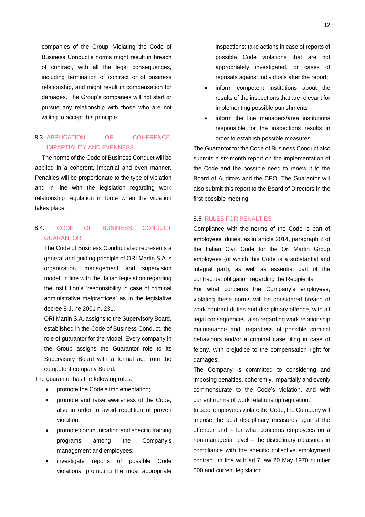companies of the Group. Violating the Code of Business Conduct's norms might result in breach of contract, with all the legal consequences, including termination of contract or of business relationship, and might result in compensation for damages. The Group's companies will not start or pursue any relationship with those who are not willing to accept this principle.

### 8.3. APPLICATION OF COHERENCE, IMPARTIALITY AND EVENNESS

The norms of the Code of Business Conduct will be applied in a coherent, impartial and even manner. Penalties will be proportionate to the type of violation and in line with the legislation regarding work relationship regulation in force when the violation takes place.

### 8.4. CODE OF BUSINESS CONDUCT GUARANTOR

The Code of Business Conduct also represents a general and guiding principle of ORI Martin S.A.'s organization, management and supervision model, in line with the Italian legislation regarding the institution's "responsibility in case of criminal administrative malpractices" as in the legislative decree 8 June 2001 n. 231.

ORI Martin S.A. assigns to the Supervisory Board, established in the Code of Business Conduct, the role of guarantor for the Model. Every company in the Group assigns the Guarantor role to its Supervisory Board with a formal act from the competent company Board.

The guarantor has the following roles:

- promote the Code's implementation;
- promote and raise awareness of the Code, also in order to avoid repetition of proven violation;
- promote communication and specific training programs among the Company's management and employees;
- investigate reports of possible Code violations, promoting the most appropriate

inspections; take actions in case of reports of possible Code violations that are not appropriately investigated, or cases of reprisals against individuals after the report;

- inform competent institutions about the results of the inspections that are relevant for implementing possible punishments
- inform the line managers/area institutions responsible for the inspections results in order to establish possible measures.

The Guarantor for the Code of Business Conduct also submits a six-month report on the implementation of the Code and the possible need to renew it to the Board of Auditors and the CEO. The Guarantor will also submit this report to the Board of Directors in the first possible meeting.

### 8.5. RULES FOR PENALTIES

Compliance with the norms of the Code is part of employees' duties, as in article 2014, paragraph 2 of the Italian Civil Code for the Ori Martin Group employees (of which this Code is a substantial and integral part), as well as essential part of the contractual obligation regarding the Recipients.

For what concerns the Company's employees, violating these norms will be considered breach of work contract duties and disciplinary offence, with all legal consequences, also regarding work relationship maintenance and, regardless of possible criminal behaviours and/or a criminal case filing in case of felony, with prejudice to the compensation right for damages.

The Company is committed to considering and imposing penalties, coherently, impartially and evenly commensurate to the Code's violation, and with current norms of work relationship regulation.

In case employees violate the Code, the Company will impose the best disciplinary measures against the offender and – for what concerns employees on a non-managerial level – the disciplinary measures in compliance with the specific collective employment contract, in line with art.7 law 20 May 1970 number 300 and current legislation.